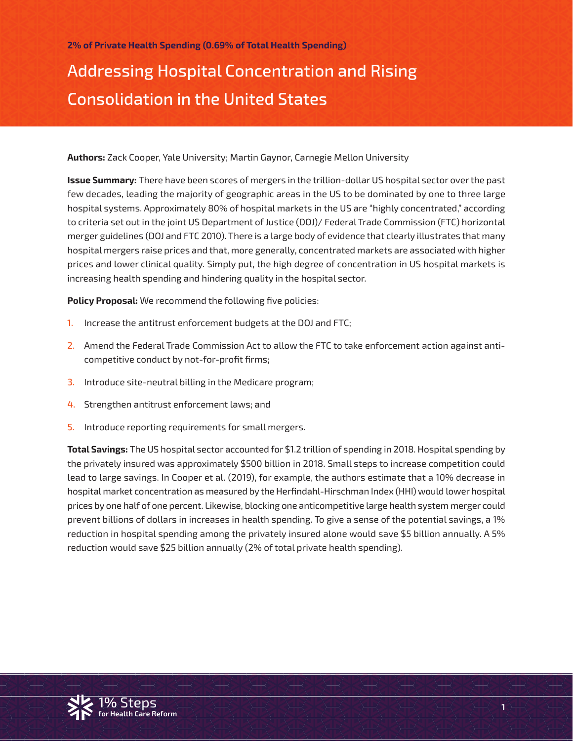# Addressing Hospital Concentration and Rising Consolidation in the United States

**Authors:** Zack Cooper, Yale University; Martin Gaynor, Carnegie Mellon University

**Issue Summary:** There have been scores of mergers in the trillion-dollar US hospital sector over the past few decades, leading the majority of geographic areas in the US to be dominated by one to three large hospital systems. Approximately 80% of hospital markets in the US are "highly concentrated," according to criteria set out in the joint US Department of Justice (DOJ)/ Federal Trade Commission (FTC) horizontal merger guidelines (DOJ and FTC 2010). There is a large body of evidence that clearly illustrates that many hospital mergers raise prices and that, more generally, concentrated markets are associated with higher prices and lower clinical quality. Simply put, the high degree of concentration in US hospital markets is increasing health spending and hindering quality in the hospital sector.

**Policy Proposal:** We recommend the following five policies:

- 1. Increase the antitrust enforcement budgets at the DOJ and FTC;
- 2. Amend the Federal Trade Commission Act to allow the FTC to take enforcement action against anticompetitive conduct by not-for-profit firms;
- 3. Introduce site-neutral billing in the Medicare program;
- 4. Strengthen antitrust enforcement laws; and
- 5. Introduce reporting requirements for small mergers.

**Total Savings:** The US hospital sector accounted for \$1.2 trillion of spending in 2018. Hospital spending by the privately insured was approximately \$500 billion in 2018. Small steps to increase competition could lead to large savings. In Cooper et al. (2019), for example, the authors estimate that a 10% decrease in hospital market concentration as measured by the Herfindahl-Hirschman Index (HHI) would lower hospital prices by one half of one percent. Likewise, blocking one anticompetitive large health system merger could prevent billions of dollars in increases in health spending. To give a sense of the potential savings, a 1% reduction in hospital spending among the privately insured alone would save \$5 billion annually. A 5% reduction would save \$25 billion annually (2% of total private health spending).

**1**

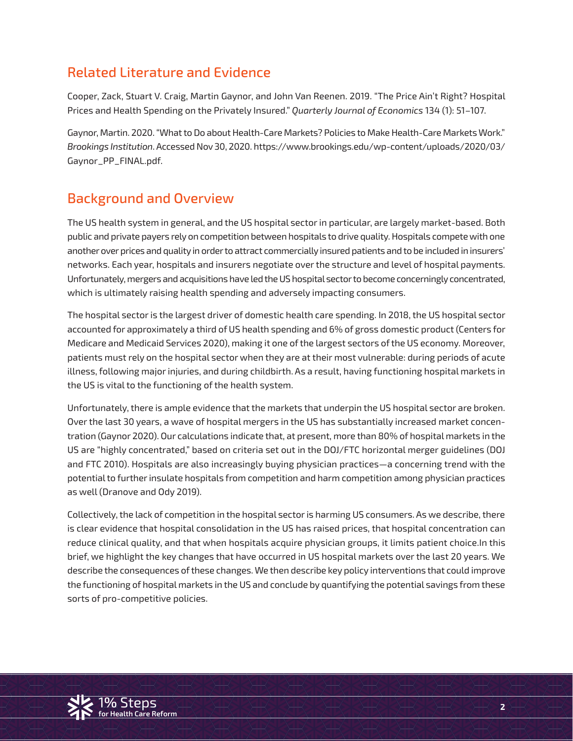# Related Literature and Evidence

Cooper, Zack, Stuart V. Craig, Martin Gaynor, and John Van Reenen. 2019. "The Price Ain't Right? Hospital Prices and Health Spending on the Privately Insured." *Quarterly Journal of Economics* 134 (1): 51–107.

Gaynor, Martin. 2020. "What to Do about Health-Care Markets? Policies to Make Health-Care Markets Work." *Brookings Institution*. Accessed Nov 30, 2020. https://www.brookings.edu/wp-content/uploads/2020/03/ Gaynor\_PP\_FINAL.pdf.

# Background and Overview

The US health system in general, and the US hospital sector in particular, are largely market-based. Both public and private payers rely on competition between hospitals to drive quality. Hospitals compete with one another over prices and quality in order to attract commercially insured patients and to be included in insurers' networks. Each year, hospitals and insurers negotiate over the structure and level of hospital payments. Unfortunately, mergers and acquisitions have led the US hospital sector to become concerningly concentrated, which is ultimately raising health spending and adversely impacting consumers.

The hospital sector is the largest driver of domestic health care spending. In 2018, the US hospital sector accounted for approximately a third of US health spending and 6% of gross domestic product (Centers for Medicare and Medicaid Services 2020), making it one of the largest sectors of the US economy. Moreover, patients must rely on the hospital sector when they are at their most vulnerable: during periods of acute illness, following major injuries, and during childbirth. As a result, having functioning hospital markets in the US is vital to the functioning of the health system.

Unfortunately, there is ample evidence that the markets that underpin the US hospital sector are broken. Over the last 30 years, a wave of hospital mergers in the US has substantially increased market concentration (Gaynor 2020). Our calculations indicate that, at present, more than 80% of hospital markets in the US are "highly concentrated," based on criteria set out in the DOJ/FTC horizontal merger guidelines (DOJ and FTC 2010). Hospitals are also increasingly buying physician practices—a concerning trend with the potential to further insulate hospitals from competition and harm competition among physician practices as well (Dranove and Ody 2019).

sorts of pro-competitive policies.<br>`` Collectively, the lack of competition in the hospital sector is harming US consumers. As we describe, there is clear evidence that hospital consolidation in the US has raised prices, that hospital concentration can reduce clinical quality, and that when hospitals acquire physician groups, it limits patient choice.In this brief, we highlight the key changes that have occurred in US hospital markets over the last 20 years. We describe the consequences of these changes. We then describe key policy interventions that could improve the functioning of hospital markets in the US and conclude by quantifying the potential savings from these

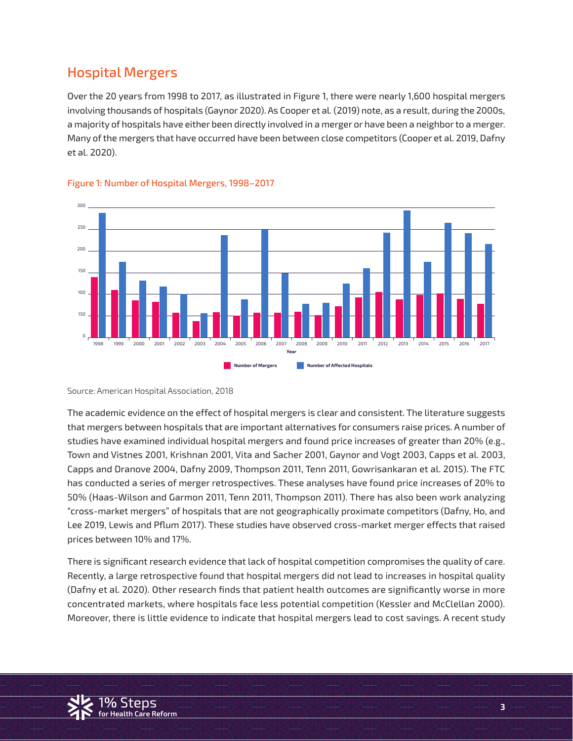# Hospital Mergers

Over the 20 years from 1998 to 2017, as illustrated in Figure 1, there were nearly 1,600 hospital mergers involving thousands of hospitals (Gaynor 2020). As Cooper et al. (2019) note, as a result, during the 2000s, a majority of hospitals have either been directly involved in a merger or have been a neighbor to a merger. Many of the mergers that have occurred have been between close competitors (Cooper et al. 2019, Dafny et al. 2020).



#### Figure 1: Number of Hospital Mergers, 1998–2017

Source: American Hospital Association, 2018

The academic evidence on the effect of hospital mergers is clear and consistent. The literature suggests that mergers between hospitals that are important alternatives for consumers raise prices. A number of studies have examined individual hospital mergers and found price increases of greater than 20% (e.g., Town and Vistnes 2001, Krishnan 2001, Vita and Sacher 2001, Gaynor and Vogt 2003, Capps et al. 2003, Capps and Dranove 2004, Dafny 2009, Thompson 2011, Tenn 2011, Gowrisankaran et al. 2015). The FTC has conducted a series of merger retrospectives. These analyses have found price increases of 20% to 50% (Haas-Wilson and Garmon 2011, Tenn 2011, Thompson 2011). There has also been work analyzing "cross-market mergers" of hospitals that are not geographically proximate competitors (Dafny, Ho, and Lee 2019, Lewis and Pflum 2017). These studies have observed cross-market merger effects that raised prices between 10% and 17%.

.<br>1**0 Steps 2006** Steps in Markets, where hospitals face less potential competition (Kessler and McClellan 2000). Moreover, there is little evidence to indicate that hospital mergers lead to cost savings. A recent study There is significant research evidence that lack of hospital competition compromises the quality of care. Recently, a large retrospective found that hospital mergers did not lead to increases in hospital quality (Dafny et al. 2020). Other research finds that patient health outcomes are significantly worse in more

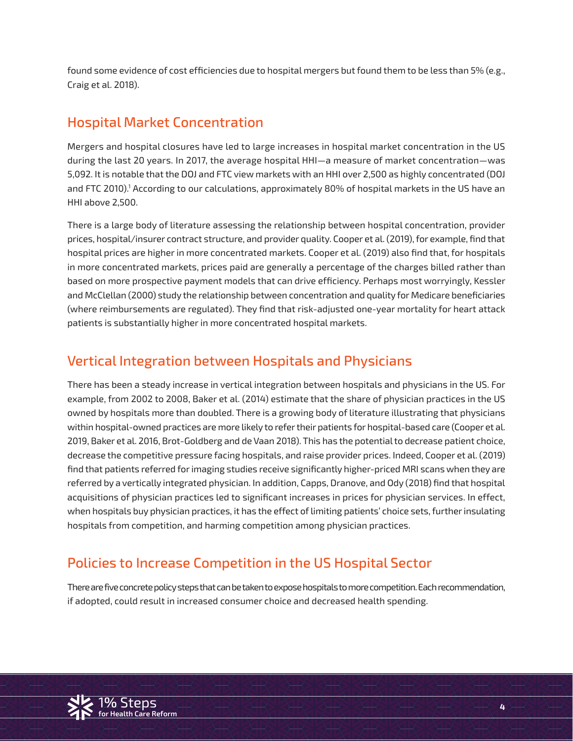found some evidence of cost efficiencies due to hospital mergers but found them to be less than 5% (e.g., Craig et al. 2018).

### Hospital Market Concentration

Mergers and hospital closures have led to large increases in hospital market concentration in the US during the last 20 years. In 2017, the average hospital HHI—a measure of market concentration—was 5,092. It is notable that the DOJ and FTC view markets with an HHI over 2,500 as highly concentrated (DOJ and FTC 2010).1 According to our calculations, approximately 80% of hospital markets in the US have an HHI above 2,500.

There is a large body of literature assessing the relationship between hospital concentration, provider prices, hospital/insurer contract structure, and provider quality. Cooper et al. (2019), for example, find that hospital prices are higher in more concentrated markets. Cooper et al. (2019) also find that, for hospitals in more concentrated markets, prices paid are generally a percentage of the charges billed rather than based on more prospective payment models that can drive efficiency. Perhaps most worryingly, Kessler and McClellan (2000) study the relationship between concentration and quality for Medicare beneficiaries (where reimbursements are regulated). They find that risk-adjusted one-year mortality for heart attack patients is substantially higher in more concentrated hospital markets.

## Vertical Integration between Hospitals and Physicians

There has been a steady increase in vertical integration between hospitals and physicians in the US. For example, from 2002 to 2008, Baker et al. (2014) estimate that the share of physician practices in the US owned by hospitals more than doubled. There is a growing body of literature illustrating that physicians within hospital-owned practices are more likely to refer their patients for hospital-based care (Cooper et al. 2019, Baker et al. 2016, Brot-Goldberg and de Vaan 2018). This has the potential to decrease patient choice, decrease the competitive pressure facing hospitals, and raise provider prices. Indeed, Cooper et al. (2019) find that patients referred for imaging studies receive significantly higher-priced MRI scans when they are referred by a vertically integrated physician. In addition, Capps, Dranove, and Ody (2018) find that hospital acquisitions of physician practices led to significant increases in prices for physician services. In effect, when hospitals buy physician practices, it has the effect of limiting patients' choice sets, further insulating hospitals from competition, and harming competition among physician practices.

# Policies to Increase Competition in the US Hospital Sector

if adopted, could result in increased consumer choice and decreased health spending.<br>. There are five concrete policy steps that can be taken to expose hospitals to more competition. Each recommendation,

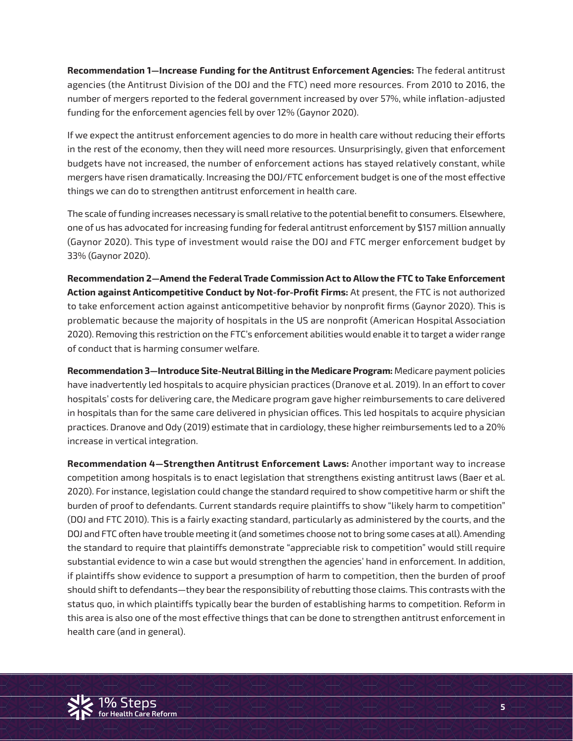**Recommendation 1—Increase Funding for the Antitrust Enforcement Agencies:** The federal antitrust agencies (the Antitrust Division of the DOJ and the FTC) need more resources. From 2010 to 2016, the number of mergers reported to the federal government increased by over 57%, while inflation-adjusted funding for the enforcement agencies fell by over 12% (Gaynor 2020).

If we expect the antitrust enforcement agencies to do more in health care without reducing their efforts in the rest of the economy, then they will need more resources. Unsurprisingly, given that enforcement budgets have not increased, the number of enforcement actions has stayed relatively constant, while mergers have risen dramatically. Increasing the DOJ/FTC enforcement budget is one of the most effective things we can do to strengthen antitrust enforcement in health care.

The scale of funding increases necessary is small relative to the potential benefit to consumers. Elsewhere, one of us has advocated for increasing funding for federal antitrust enforcement by \$157 million annually (Gaynor 2020). This type of investment would raise the DOJ and FTC merger enforcement budget by 33% (Gaynor 2020).

**Recommendation 2—Amend the Federal Trade Commission Act to Allow the FTC to Take Enforcement Action against Anticompetitive Conduct by Not-for-Profit Firms:** At present, the FTC is not authorized to take enforcement action against anticompetitive behavior by nonprofit firms (Gaynor 2020). This is problematic because the majority of hospitals in the US are nonprofit (American Hospital Association 2020). Removing this restriction on the FTC's enforcement abilities would enable it to target a wider range of conduct that is harming consumer welfare.

**Recommendation 3—Introduce Site-Neutral Billing in the Medicare Program:** Medicare payment policies have inadvertently led hospitals to acquire physician practices (Dranove et al. 2019). In an effort to cover hospitals' costs for delivering care, the Medicare program gave higher reimbursements to care delivered in hospitals than for the same care delivered in physician offices. This led hospitals to acquire physician practices. Dranove and Ody (2019) estimate that in cardiology, these higher reimbursements led to a 20% increase in vertical integration.

ر<br>Status quo, in which plaintiffs typically bear the burden of establishing harms to competition. Reform in this area is also one of the most effective things that can be done to strengthen antitrust enforcement in **Recommendation 4—Strengthen Antitrust Enforcement Laws:** Another important way to increase competition among hospitals is to enact legislation that strengthens existing antitrust laws (Baer et al. 2020). For instance, legislation could change the standard required to show competitive harm or shift the burden of proof to defendants. Current standards require plaintiffs to show "likely harm to competition" (DOJ and FTC 2010). This is a fairly exacting standard, particularly as administered by the courts, and the DOJ and FTC often have trouble meeting it (and sometimes choose not to bring some cases at all). Amending the standard to require that plaintiffs demonstrate "appreciable risk to competition" would still require substantial evidence to win a case but would strengthen the agencies' hand in enforcement. In addition, if plaintiffs show evidence to support a presumption of harm to competition, then the burden of proof should shift to defendants—they bear the responsibility of rebutting those claims. This contrasts with the health care (and in general).

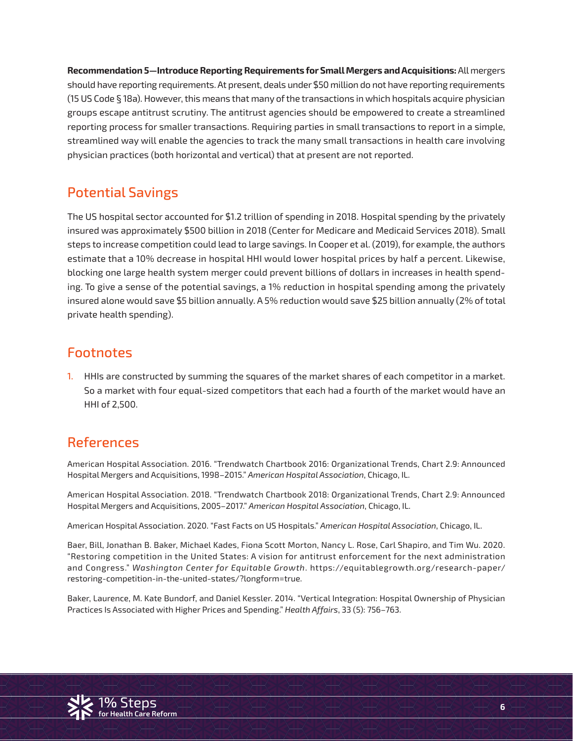**Recommendation 5—Introduce Reporting Requirements for Small Mergers and Acquisitions:** All mergers should have reporting requirements. At present, deals under \$50 million do not have reporting requirements (15 US Code § 18a). However, this means that many of the transactions in which hospitals acquire physician groups escape antitrust scrutiny. The antitrust agencies should be empowered to create a streamlined reporting process for smaller transactions. Requiring parties in small transactions to report in a simple, streamlined way will enable the agencies to track the many small transactions in health care involving physician practices (both horizontal and vertical) that at present are not reported.

# Potential Savings

The US hospital sector accounted for \$1.2 trillion of spending in 2018. Hospital spending by the privately insured was approximately \$500 billion in 2018 (Center for Medicare and Medicaid Services 2018). Small steps to increase competition could lead to large savings. In Cooper et al. (2019), for example, the authors estimate that a 10% decrease in hospital HHI would lower hospital prices by half a percent. Likewise, blocking one large health system merger could prevent billions of dollars in increases in health spending. To give a sense of the potential savings, a 1% reduction in hospital spending among the privately insured alone would save \$5 billion annually. A 5% reduction would save \$25 billion annually (2% of total private health spending).

#### Footnotes

1. HHIs are constructed by summing the squares of the market shares of each competitor in a market. So a market with four equal-sized competitors that each had a fourth of the market would have an HHI of 2,500.

# References

American Hospital Association. 2016. "Trendwatch Chartbook 2016: Organizational Trends, Chart 2.9: Announced Hospital Mergers and Acquisitions, 1998–2015." *American Hospital Association*, Chicago, IL.

American Hospital Association. 2018. "Trendwatch Chartbook 2018: Organizational Trends, Chart 2.9: Announced Hospital Mergers and Acquisitions, 2005–2017." *American Hospital Association*, Chicago, IL.

American Hospital Association. 2020. "Fast Facts on US Hospitals." *American Hospital Association*, Chicago, IL.

Baer, Bill, Jonathan B. Baker, Michael Kades, Fiona Scott Morton, Nancy L. Rose, Carl Shapiro, and Tim Wu. 2020. "Restoring competition in the United States: A vision for antitrust enforcement for the next administration and Congress." *Washington Center for Equitable Growth*. https://equitablegrowth.org/research-paper/ restoring-competition-in-the-united-states/?longform=true.

Baker, Laurence, M. Kate Bundorf, and Daniel Kessler. 2014. "Vertical Integration: Hospital Ownership of Physician<br>Practices Is Associated with Higher Prices and Spending." *Health Affairs,* 33 (5): 756–763. **for Health Care Reform** Practices Is Associated with Higher Prices and Spending." *Health Affairs*, 33 (5): 756–763.

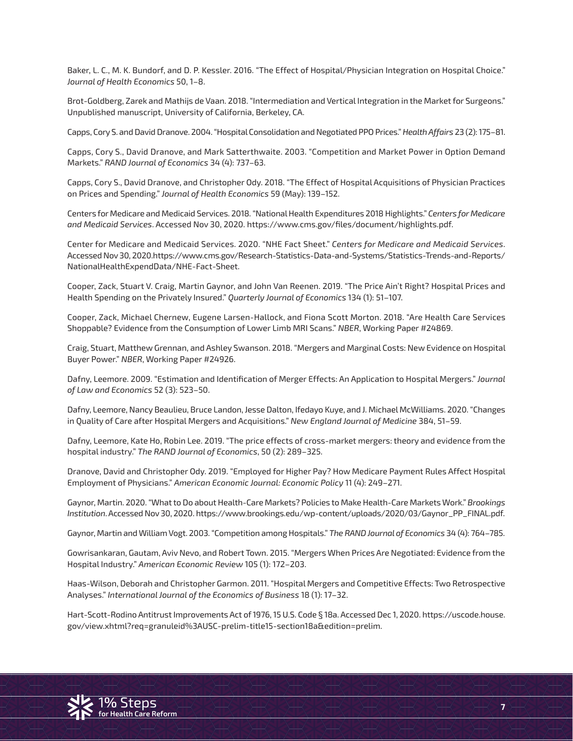Baker, L. C., M. K. Bundorf, and D. P. Kessler. 2016. "The Effect of Hospital/Physician Integration on Hospital Choice." *Journal of Health Economics* 50, 1–8.

Brot-Goldberg, Zarek and Mathijs de Vaan. 2018. "Intermediation and Vertical Integration in the Market for Surgeons." Unpublished manuscript, University of California, Berkeley, CA.

Capps, Cory S. and David Dranove. 2004. "Hospital Consolidation and Negotiated PPO Prices." *Health Affairs* 23 (2): 175–81.

Capps, Cory S., David Dranove, and Mark Satterthwaite. 2003. "Competition and Market Power in Option Demand Markets." *RAND Journal of Economics* 34 (4): 737–63.

Capps, Cory S., David Dranove, and Christopher Ody. 2018. "The Effect of Hospital Acquisitions of Physician Practices on Prices and Spending." *Journal of Health Economics* 59 (May): 139–152.

Centers for Medicare and Medicaid Services. 2018. "National Health Expenditures 2018 Highlights." *Centers for Medicare and Medicaid Services*. Accessed Nov 30, 2020. https://www.cms.gov/files/document/highlights.pdf.

Center for Medicare and Medicaid Services. 2020. "NHE Fact Sheet." *Centers for Medicare and Medicaid Services*. Accessed Nov 30, 2020.https://www.cms.gov/Research-Statistics-Data-and-Systems/Statistics-Trends-and-Reports/ NationalHealthExpendData/NHE-Fact-Sheet.

Cooper, Zack, Stuart V. Craig, Martin Gaynor, and John Van Reenen. 2019. "The Price Ain't Right? Hospital Prices and Health Spending on the Privately Insured." *Quarterly Journal of Economics* 134 (1): 51–107.

Cooper, Zack, Michael Chernew, Eugene Larsen-Hallock, and Fiona Scott Morton. 2018. "Are Health Care Services Shoppable? Evidence from the Consumption of Lower Limb MRI Scans." *NBER*, Working Paper #24869.

Craig, Stuart, Matthew Grennan, and Ashley Swanson. 2018. "Mergers and Marginal Costs: New Evidence on Hospital Buyer Power." *NBER*, Working Paper #24926.

Dafny, Leemore. 2009. "Estimation and Identification of Merger Effects: An Application to Hospital Mergers." *Journal of Law and Economics* 52 (3): 523–50.

Dafny, Leemore, Nancy Beaulieu, Bruce Landon, Jesse Dalton, Ifedayo Kuye, and J. Michael McWilliams. 2020. "Changes in Quality of Care after Hospital Mergers and Acquisitions." *New England Journal of Medicine* 384, 51–59.

Dafny, Leemore, Kate Ho, Robin Lee. 2019. "The price effects of cross-market mergers: theory and evidence from the hospital industry." *The RAND Journal of Economics*, 50 (2): 289–325.

Dranove, David and Christopher Ody. 2019. "Employed for Higher Pay? How Medicare Payment Rules Affect Hospital Employment of Physicians." *American Economic Journal: Economic Policy* 11 (4): 249–271.

Gaynor, Martin. 2020. "What to Do about Health-Care Markets? Policies to Make Health-Care Markets Work." *Brookings Institution*. Accessed Nov 30, 2020. https://www.brookings.edu/wp-content/uploads/2020/03/Gaynor\_PP\_FINAL.pdf.

Gaynor, Martin and William Vogt. 2003. "Competition among Hospitals." *The RAND Journal of Economics* 34 (4): 764–785.

Gowrisankaran, Gautam, Aviv Nevo, and Robert Town. 2015. "Mergers When Prices Are Negotiated: Evidence from the Hospital Industry." *American Economic Review* 105 (1): 172–203.

1**%** Steps Analyses." *International Journal of the Economics of Business* 18 (1): 17–32. Haas-Wilson, Deborah and Christopher Garmon. 2011. "Hospital Mergers and Competitive Effects: Two Retrospective

**for Health Care Reform** Hart-Scott-Rodino Antitrust Improvements Act of 1976, 15 U.S. Code § 18a. Accessed Dec 1, 2020. https://uscode.house. gov/view.xhtml?req=granuleid%3AUSC-prelim-title15-section18a&edition=prelim.

**7**